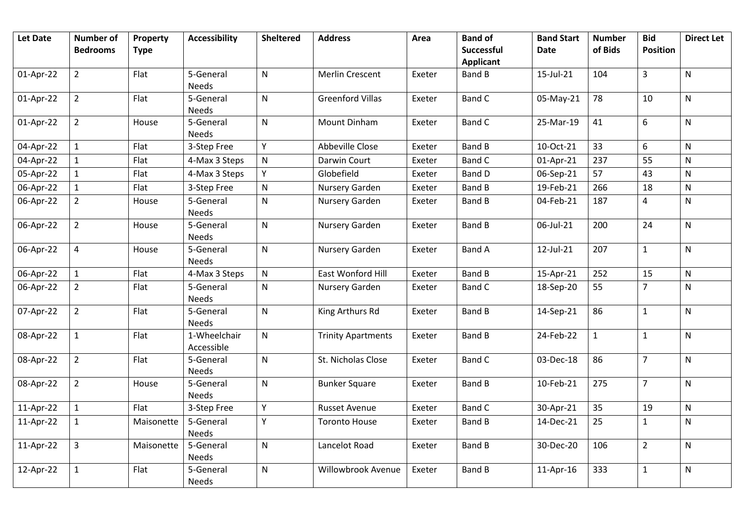| <b>Let Date</b> | <b>Number of</b> | Property    | <b>Accessibility</b>       | <b>Sheltered</b> | <b>Address</b>            | Area   | <b>Band of</b>                        | <b>Band Start</b> | <b>Number</b> | <b>Bid</b>      | <b>Direct Let</b> |
|-----------------|------------------|-------------|----------------------------|------------------|---------------------------|--------|---------------------------------------|-------------------|---------------|-----------------|-------------------|
|                 | <b>Bedrooms</b>  | <b>Type</b> |                            |                  |                           |        | <b>Successful</b><br><b>Applicant</b> | <b>Date</b>       | of Bids       | <b>Position</b> |                   |
| 01-Apr-22       | $\overline{2}$   | Flat        | 5-General<br>Needs         | N                | <b>Merlin Crescent</b>    | Exeter | <b>Band B</b>                         | 15-Jul-21         | 104           | $\overline{3}$  | $\mathsf{N}$      |
| 01-Apr-22       | $\overline{2}$   | Flat        | 5-General<br>Needs         | $\mathsf{N}$     | <b>Greenford Villas</b>   | Exeter | <b>Band C</b>                         | 05-May-21         | 78            | 10              | ${\sf N}$         |
| 01-Apr-22       | $\overline{2}$   | House       | 5-General<br><b>Needs</b>  | N                | <b>Mount Dinham</b>       | Exeter | <b>Band C</b>                         | 25-Mar-19         | 41            | 6               | $\mathsf{N}$      |
| 04-Apr-22       | $\mathbf{1}$     | Flat        | 3-Step Free                | Y                | Abbeville Close           | Exeter | <b>Band B</b>                         | 10-Oct-21         | 33            | 6               | $\mathsf{N}$      |
| 04-Apr-22       | 1                | Flat        | 4-Max 3 Steps              | ${\sf N}$        | Darwin Court              | Exeter | <b>Band C</b>                         | 01-Apr-21         | 237           | 55              | $\mathsf{N}$      |
| 05-Apr-22       | $\mathbf{1}$     | Flat        | 4-Max 3 Steps              | Y                | Globefield                | Exeter | <b>Band D</b>                         | 06-Sep-21         | 57            | 43              | ${\sf N}$         |
| 06-Apr-22       | $\mathbf{1}$     | Flat        | 3-Step Free                | $\mathsf{N}$     | Nursery Garden            | Exeter | <b>Band B</b>                         | 19-Feb-21         | 266           | 18              | $\mathsf{N}$      |
| 06-Apr-22       | $\overline{2}$   | House       | 5-General<br>Needs         | N                | Nursery Garden            | Exeter | <b>Band B</b>                         | 04-Feb-21         | 187           | 4               | ${\sf N}$         |
| 06-Apr-22       | $\overline{2}$   | House       | 5-General<br>Needs         | N                | Nursery Garden            | Exeter | <b>Band B</b>                         | 06-Jul-21         | 200           | 24              | $\mathsf{N}$      |
| 06-Apr-22       | $\overline{4}$   | House       | 5-General<br><b>Needs</b>  | N                | Nursery Garden            | Exeter | <b>Band A</b>                         | 12-Jul-21         | 207           | $\mathbf{1}$    | $\mathsf{N}$      |
| 06-Apr-22       | $\mathbf{1}$     | Flat        | 4-Max 3 Steps              | ${\sf N}$        | East Wonford Hill         | Exeter | <b>Band B</b>                         | 15-Apr-21         | 252           | 15              | ${\sf N}$         |
| 06-Apr-22       | $\overline{2}$   | Flat        | 5-General<br>Needs         | $\mathsf{N}$     | Nursery Garden            | Exeter | <b>Band C</b>                         | 18-Sep-20         | 55            | $\overline{7}$  | $\mathsf{N}$      |
| 07-Apr-22       | $\overline{2}$   | Flat        | 5-General<br><b>Needs</b>  | N                | King Arthurs Rd           | Exeter | <b>Band B</b>                         | 14-Sep-21         | 86            | $\mathbf{1}$    | ${\sf N}$         |
| 08-Apr-22       | $\mathbf{1}$     | Flat        | 1-Wheelchair<br>Accessible | N                | <b>Trinity Apartments</b> | Exeter | <b>Band B</b>                         | 24-Feb-22         | $\mathbf{1}$  | $\mathbf{1}$    | $\mathsf{N}$      |
| 08-Apr-22       | $\overline{2}$   | Flat        | 5-General<br>Needs         | N                | St. Nicholas Close        | Exeter | <b>Band C</b>                         | 03-Dec-18         | 86            | $\overline{7}$  | ${\sf N}$         |
| 08-Apr-22       | $\overline{2}$   | House       | 5-General<br><b>Needs</b>  | N                | <b>Bunker Square</b>      | Exeter | <b>Band B</b>                         | 10-Feb-21         | 275           | $\overline{7}$  | $\mathsf{N}$      |
| 11-Apr-22       | $\mathbf{1}$     | Flat        | 3-Step Free                | Y                | <b>Russet Avenue</b>      | Exeter | <b>Band C</b>                         | 30-Apr-21         | 35            | 19              | $\mathsf{N}$      |
| 11-Apr-22       | $\mathbf{1}$     | Maisonette  | 5-General<br>Needs         | Y                | <b>Toronto House</b>      | Exeter | <b>Band B</b>                         | 14-Dec-21         | 25            | $\mathbf{1}$    | ${\sf N}$         |
| 11-Apr-22       | $\overline{3}$   | Maisonette  | 5-General<br>Needs         | N                | Lancelot Road             | Exeter | <b>Band B</b>                         | 30-Dec-20         | 106           | $\overline{2}$  | $\mathsf{N}$      |
| 12-Apr-22       | $\mathbf{1}$     | Flat        | 5-General<br>Needs         | N                | Willowbrook Avenue        | Exeter | <b>Band B</b>                         | 11-Apr-16         | 333           | $\mathbf{1}$    | ${\sf N}$         |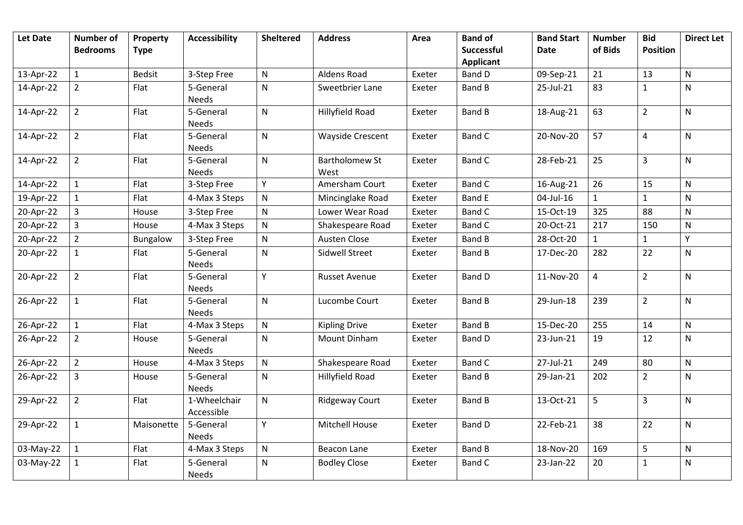| <b>Let Date</b> | <b>Number of</b><br><b>Bedrooms</b> | Property<br><b>Type</b> | <b>Accessibility</b>       | <b>Sheltered</b> | <b>Address</b>                | Area   | <b>Band of</b><br>Successful | <b>Band Start</b><br><b>Date</b> | <b>Number</b><br>of Bids | <b>Bid</b><br><b>Position</b> | <b>Direct Let</b> |
|-----------------|-------------------------------------|-------------------------|----------------------------|------------------|-------------------------------|--------|------------------------------|----------------------------------|--------------------------|-------------------------------|-------------------|
|                 |                                     |                         |                            |                  |                               |        | <b>Applicant</b>             |                                  |                          |                               |                   |
| 13-Apr-22       | $\mathbf{1}$                        | <b>Bedsit</b>           | 3-Step Free                | N                | Aldens Road                   | Exeter | <b>Band D</b>                | 09-Sep-21                        | 21                       | 13                            | $\mathsf{N}$      |
| 14-Apr-22       | $\overline{2}$                      | Flat                    | 5-General<br><b>Needs</b>  | N                | Sweetbrier Lane               | Exeter | <b>Band B</b>                | 25-Jul-21                        | 83                       | $\mathbf{1}$                  | N                 |
| 14-Apr-22       | $\overline{2}$                      | Flat                    | 5-General<br><b>Needs</b>  | N                | Hillyfield Road               | Exeter | <b>Band B</b>                | 18-Aug-21                        | 63                       | $\overline{2}$                | $\mathsf{N}$      |
| 14-Apr-22       | $\overline{2}$                      | Flat                    | 5-General<br><b>Needs</b>  | N                | <b>Wayside Crescent</b>       | Exeter | <b>Band C</b>                | 20-Nov-20                        | 57                       | $\pmb{4}$                     | $\mathsf{N}$      |
| 14-Apr-22       | $\overline{2}$                      | Flat                    | 5-General<br><b>Needs</b>  | $\mathsf{N}$     | <b>Bartholomew St</b><br>West | Exeter | <b>Band C</b>                | 28-Feb-21                        | 25                       | $\overline{3}$                | N                 |
| 14-Apr-22       | $\mathbf{1}$                        | Flat                    | 3-Step Free                | Y                | Amersham Court                | Exeter | <b>Band C</b>                | 16-Aug-21                        | 26                       | 15                            | N                 |
| 19-Apr-22       | $\mathbf{1}$                        | Flat                    | 4-Max 3 Steps              | $\mathsf{N}$     | Mincinglake Road              | Exeter | <b>Band E</b>                | 04-Jul-16                        | $\mathbf{1}$             | $\mathbf{1}$                  | $\mathsf{N}$      |
| 20-Apr-22       | $\overline{3}$                      | House                   | 3-Step Free                | ${\sf N}$        | Lower Wear Road               | Exeter | <b>Band C</b>                | 15-Oct-19                        | 325                      | 88                            | ${\sf N}$         |
| 20-Apr-22       | $\overline{3}$                      | House                   | 4-Max 3 Steps              | $\mathsf{N}$     | Shakespeare Road              | Exeter | <b>Band C</b>                | 20-Oct-21                        | 217                      | 150                           | ${\sf N}$         |
| 20-Apr-22       | $\overline{2}$                      | Bungalow                | 3-Step Free                | $\mathsf{N}$     | Austen Close                  | Exeter | <b>Band B</b>                | 28-Oct-20                        | $\mathbf{1}$             | $\mathbf{1}$                  | Υ                 |
| 20-Apr-22       | $\mathbf{1}$                        | Flat                    | 5-General<br><b>Needs</b>  | ${\sf N}$        | <b>Sidwell Street</b>         | Exeter | <b>Band B</b>                | 17-Dec-20                        | 282                      | 22                            | $\mathsf{N}$      |
| 20-Apr-22       | $\overline{2}$                      | Flat                    | 5-General<br><b>Needs</b>  | Y                | <b>Russet Avenue</b>          | Exeter | <b>Band D</b>                | 11-Nov-20                        | 4                        | $\overline{2}$                | N                 |
| 26-Apr-22       | $\mathbf{1}$                        | Flat                    | 5-General<br><b>Needs</b>  | N                | Lucombe Court                 | Exeter | <b>Band B</b>                | 29-Jun-18                        | 239                      | $\overline{2}$                | $\mathsf{N}$      |
| 26-Apr-22       | $\mathbf{1}$                        | Flat                    | 4-Max 3 Steps              | ${\sf N}$        | <b>Kipling Drive</b>          | Exeter | <b>Band B</b>                | 15-Dec-20                        | 255                      | 14                            | $\mathsf{N}$      |
| 26-Apr-22       | $\overline{2}$                      | House                   | 5-General<br><b>Needs</b>  | $\mathsf{N}$     | <b>Mount Dinham</b>           | Exeter | Band D                       | 23-Jun-21                        | 19                       | 12                            | ${\sf N}$         |
| 26-Apr-22       | $\overline{2}$                      | House                   | 4-Max 3 Steps              | N                | Shakespeare Road              | Exeter | <b>Band C</b>                | 27-Jul-21                        | 249                      | 80                            | ${\sf N}$         |
| 26-Apr-22       | 3                                   | House                   | 5-General<br><b>Needs</b>  | N                | Hillyfield Road               | Exeter | <b>Band B</b>                | 29-Jan-21                        | 202                      | $\overline{2}$                | N                 |
| 29-Apr-22       | $\overline{2}$                      | Flat                    | 1-Wheelchair<br>Accessible | N                | <b>Ridgeway Court</b>         | Exeter | <b>Band B</b>                | 13-Oct-21                        | 5                        | $\overline{3}$                | $\mathsf{N}$      |
| 29-Apr-22       | $\mathbf{1}$                        | Maisonette              | 5-General<br><b>Needs</b>  | Y                | <b>Mitchell House</b>         | Exeter | Band D                       | 22-Feb-21                        | 38                       | 22                            | $\mathsf{N}$      |
| 03-May-22       | $\mathbf{1}$                        | Flat                    | 4-Max 3 Steps              | $\mathsf{N}$     | <b>Beacon Lane</b>            | Exeter | <b>Band B</b>                | 18-Nov-20                        | 169                      | 5                             | ${\sf N}$         |
| 03-May-22       | $\mathbf{1}$                        | Flat                    | 5-General<br>Needs         | N                | <b>Bodley Close</b>           | Exeter | <b>Band C</b>                | 23-Jan-22                        | 20                       | $\mathbf 1$                   | $\mathsf{N}$      |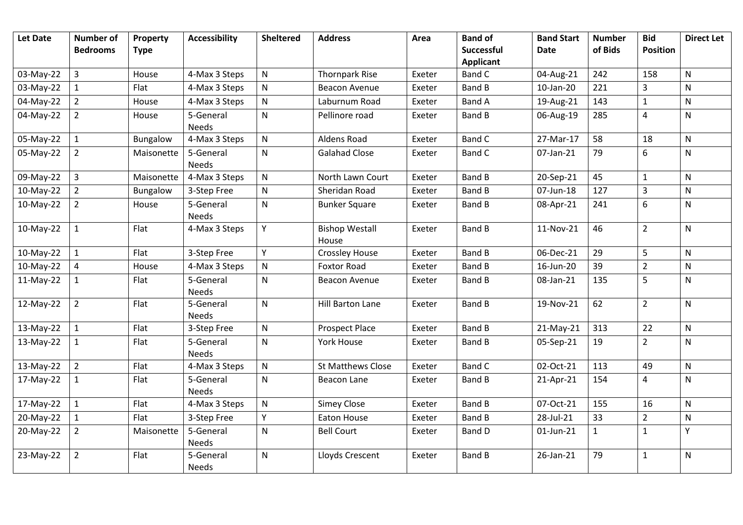| <b>Let Date</b> | <b>Number of</b><br><b>Bedrooms</b> | Property<br><b>Type</b> | <b>Accessibility</b>      | <b>Sheltered</b> | <b>Address</b>                 | Area   | <b>Band of</b><br><b>Successful</b><br><b>Applicant</b> | <b>Band Start</b><br><b>Date</b> | <b>Number</b><br>of Bids | <b>Bid</b><br><b>Position</b> | <b>Direct Let</b> |
|-----------------|-------------------------------------|-------------------------|---------------------------|------------------|--------------------------------|--------|---------------------------------------------------------|----------------------------------|--------------------------|-------------------------------|-------------------|
| 03-May-22       | 3                                   | House                   | 4-Max 3 Steps             | $\mathsf{N}$     | <b>Thornpark Rise</b>          | Exeter | Band C                                                  | 04-Aug-21                        | 242                      | 158                           | $\mathsf{N}$      |
| 03-May-22       | 1                                   | Flat                    | 4-Max 3 Steps             | $\mathsf{N}$     | <b>Beacon Avenue</b>           | Exeter | <b>Band B</b>                                           | 10-Jan-20                        | 221                      | 3                             | $\mathsf{N}$      |
| 04-May-22       | $\overline{2}$                      | House                   | 4-Max 3 Steps             | N                | Laburnum Road                  | Exeter | <b>Band A</b>                                           | 19-Aug-21                        | 143                      | $\mathbf 1$                   | ${\sf N}$         |
| 04-May-22       | $\overline{2}$                      | House                   | 5-General<br><b>Needs</b> | N                | Pellinore road                 | Exeter | Band B                                                  | 06-Aug-19                        | 285                      | 4                             | $\mathsf{N}$      |
| 05-May-22       | $\mathbf{1}$                        | Bungalow                | 4-Max 3 Steps             | $\mathsf{N}$     | Aldens Road                    | Exeter | <b>Band C</b>                                           | 27-Mar-17                        | 58                       | 18                            | $\mathsf{N}$      |
| 05-May-22       | $\overline{2}$                      | Maisonette              | 5-General<br><b>Needs</b> | $\mathsf{N}$     | <b>Galahad Close</b>           | Exeter | <b>Band C</b>                                           | 07-Jan-21                        | 79                       | 6                             | $\mathsf{N}$      |
| 09-May-22       | $\overline{3}$                      | Maisonette              | 4-Max 3 Steps             | ${\sf N}$        | North Lawn Court               | Exeter | <b>Band B</b>                                           | 20-Sep-21                        | 45                       | $\mathbf{1}$                  | $\mathsf{N}$      |
| 10-May-22       | $\overline{2}$                      | Bungalow                | 3-Step Free               | ${\sf N}$        | Sheridan Road                  | Exeter | <b>Band B</b>                                           | 07-Jun-18                        | 127                      | 3                             | $\mathsf{N}$      |
| 10-May-22       | $\overline{2}$                      | House                   | 5-General<br><b>Needs</b> | N                | <b>Bunker Square</b>           | Exeter | <b>Band B</b>                                           | 08-Apr-21                        | 241                      | 6                             | ${\sf N}$         |
| 10-May-22       | $\mathbf{1}$                        | Flat                    | 4-Max 3 Steps             | Υ                | <b>Bishop Westall</b><br>House | Exeter | <b>Band B</b>                                           | 11-Nov-21                        | 46                       | $\overline{2}$                | ${\sf N}$         |
| 10-May-22       | $\mathbf{1}$                        | Flat                    | 3-Step Free               | Y                | <b>Crossley House</b>          | Exeter | <b>Band B</b>                                           | 06-Dec-21                        | 29                       | 5                             | ${\sf N}$         |
| 10-May-22       | 4                                   | House                   | 4-Max 3 Steps             | $\mathsf{N}$     | <b>Foxtor Road</b>             | Exeter | <b>Band B</b>                                           | 16-Jun-20                        | 39                       | $\overline{2}$                | $\mathsf{N}$      |
| 11-May-22       | 1                                   | Flat                    | 5-General<br>Needs        | N                | Beacon Avenue                  | Exeter | Band B                                                  | 08-Jan-21                        | 135                      | 5                             | ${\sf N}$         |
| 12-May-22       | $\overline{2}$                      | Flat                    | 5-General<br>Needs        | N                | Hill Barton Lane               | Exeter | <b>Band B</b>                                           | 19-Nov-21                        | 62                       | $\overline{2}$                | ${\sf N}$         |
| 13-May-22       | $\mathbf{1}$                        | Flat                    | 3-Step Free               | ${\sf N}$        | Prospect Place                 | Exeter | <b>Band B</b>                                           | 21-May-21                        | 313                      | 22                            | $\mathsf{N}$      |
| 13-May-22       | 1                                   | Flat                    | 5-General<br>Needs        | N                | York House                     | Exeter | <b>Band B</b>                                           | 05-Sep-21                        | 19                       | $\overline{2}$                | N                 |
| 13-May-22       | $\overline{2}$                      | Flat                    | 4-Max 3 Steps             | ${\sf N}$        | St Matthews Close              | Exeter | <b>Band C</b>                                           | 02-Oct-21                        | 113                      | 49                            | ${\sf N}$         |
| 17-May-22       | $\mathbf{1}$                        | Flat                    | 5-General<br><b>Needs</b> | N                | Beacon Lane                    | Exeter | <b>Band B</b>                                           | 21-Apr-21                        | 154                      | 4                             | $\mathsf{N}$      |
| 17-May-22       | $\mathbf{1}$                        | Flat                    | 4-Max 3 Steps             | ${\sf N}$        | <b>Simey Close</b>             | Exeter | <b>Band B</b>                                           | 07-Oct-21                        | 155                      | 16                            | $\mathsf{N}$      |
| 20-May-22       | $\mathbf{1}$                        | Flat                    | 3-Step Free               | Y                | Eaton House                    | Exeter | <b>Band B</b>                                           | 28-Jul-21                        | 33                       | $\mathbf 2$                   | ${\sf N}$         |
| 20-May-22       | $\overline{2}$                      | Maisonette              | 5-General<br><b>Needs</b> | N                | <b>Bell Court</b>              | Exeter | <b>Band D</b>                                           | 01-Jun-21                        | $\mathbf{1}$             | $\mathbf{1}$                  | Υ                 |
| 23-May-22       | $\overline{2}$                      | Flat                    | 5-General<br><b>Needs</b> | N                | Lloyds Crescent                | Exeter | <b>Band B</b>                                           | 26-Jan-21                        | 79                       | $\mathbf{1}$                  | ${\sf N}$         |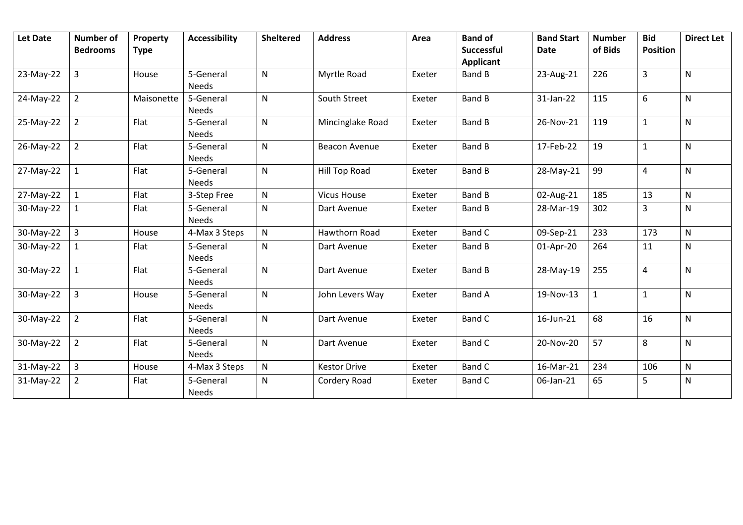| Let Date  | <b>Number of</b><br><b>Bedrooms</b> | Property<br><b>Type</b> | <b>Accessibility</b>      | <b>Sheltered</b> | <b>Address</b>       | Area   | <b>Band of</b><br>Successful<br><b>Applicant</b> | <b>Band Start</b><br><b>Date</b> | <b>Number</b><br>of Bids | <b>Bid</b><br><b>Position</b> | <b>Direct Let</b> |
|-----------|-------------------------------------|-------------------------|---------------------------|------------------|----------------------|--------|--------------------------------------------------|----------------------------------|--------------------------|-------------------------------|-------------------|
| 23-May-22 | $\overline{3}$                      | House                   | 5-General<br><b>Needs</b> | N                | Myrtle Road          | Exeter | <b>Band B</b>                                    | 23-Aug-21                        | 226                      | 3                             | $\mathsf{N}$      |
| 24-May-22 | $\overline{2}$                      | Maisonette              | 5-General<br><b>Needs</b> | N                | South Street         | Exeter | <b>Band B</b>                                    | 31-Jan-22                        | 115                      | 6                             | N                 |
| 25-May-22 | $\overline{2}$                      | Flat                    | 5-General<br><b>Needs</b> | $\mathsf{N}$     | Mincinglake Road     | Exeter | <b>Band B</b>                                    | 26-Nov-21                        | 119                      | $\mathbf{1}$                  | N                 |
| 26-May-22 | $\overline{2}$                      | Flat                    | 5-General<br><b>Needs</b> | N                | <b>Beacon Avenue</b> | Exeter | <b>Band B</b>                                    | 17-Feb-22                        | 19                       | $\mathbf{1}$                  | $\mathsf{N}$      |
| 27-May-22 | $\mathbf{1}$                        | Flat                    | 5-General<br><b>Needs</b> | $\mathsf{N}$     | <b>Hill Top Road</b> | Exeter | <b>Band B</b>                                    | 28-May-21                        | 99                       | 4                             | N                 |
| 27-May-22 | $\mathbf{1}$                        | Flat                    | 3-Step Free               | $\mathsf{N}$     | <b>Vicus House</b>   | Exeter | <b>Band B</b>                                    | 02-Aug-21                        | 185                      | 13                            | N                 |
| 30-May-22 | $\mathbf{1}$                        | Flat                    | 5-General<br><b>Needs</b> | ${\sf N}$        | Dart Avenue          | Exeter | <b>Band B</b>                                    | 28-Mar-19                        | 302                      | $\mathsf{3}$                  | ${\sf N}$         |
| 30-May-22 | $\overline{3}$                      | House                   | 4-Max 3 Steps             | $\mathsf{N}$     | <b>Hawthorn Road</b> | Exeter | <b>Band C</b>                                    | 09-Sep-21                        | 233                      | 173                           | N                 |
| 30-May-22 | 1                                   | Flat                    | 5-General<br><b>Needs</b> | N                | Dart Avenue          | Exeter | <b>Band B</b>                                    | 01-Apr-20                        | 264                      | 11                            | N                 |
| 30-May-22 | $\mathbf{1}$                        | Flat                    | 5-General<br><b>Needs</b> | N                | Dart Avenue          | Exeter | <b>Band B</b>                                    | 28-May-19                        | 255                      | $\overline{4}$                | $\mathsf{N}$      |
| 30-May-22 | $\overline{3}$                      | House                   | 5-General<br><b>Needs</b> | N                | John Levers Way      | Exeter | <b>Band A</b>                                    | 19-Nov-13                        | 1                        | $\mathbf{1}$                  | N                 |
| 30-May-22 | $\overline{2}$                      | Flat                    | 5-General<br><b>Needs</b> | N                | Dart Avenue          | Exeter | Band C                                           | 16-Jun-21                        | 68                       | 16                            | N                 |
| 30-May-22 | $\overline{2}$                      | Flat                    | 5-General<br><b>Needs</b> | N                | Dart Avenue          | Exeter | <b>Band C</b>                                    | 20-Nov-20                        | 57                       | 8                             | ${\sf N}$         |
| 31-May-22 | $\overline{3}$                      | House                   | 4-Max 3 Steps             | $\mathsf{N}$     | <b>Kestor Drive</b>  | Exeter | <b>Band C</b>                                    | 16-Mar-21                        | 234                      | 106                           | N                 |
| 31-May-22 | $\overline{2}$                      | Flat                    | 5-General<br><b>Needs</b> | N                | Cordery Road         | Exeter | <b>Band C</b>                                    | 06-Jan-21                        | 65                       | 5                             | ${\sf N}$         |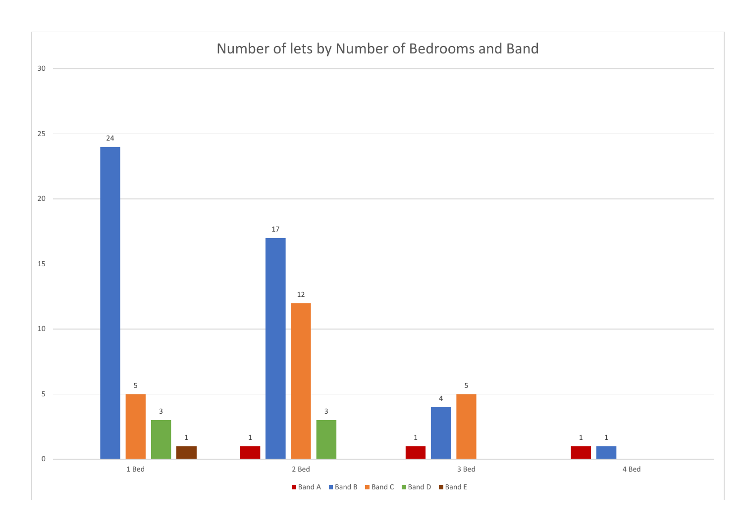